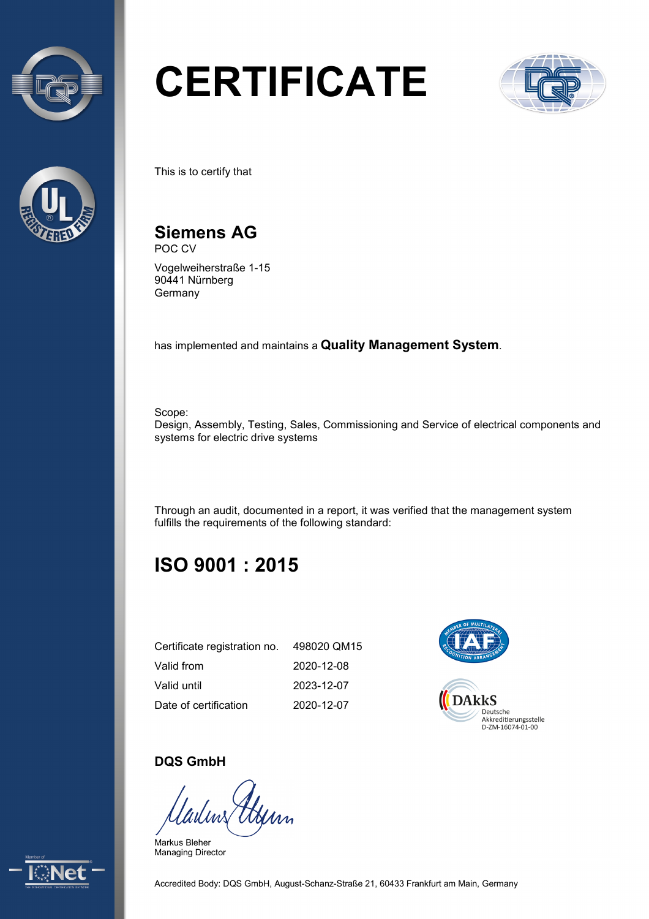



# **CERTIFICATE**



This is to certify that

#### **Siemens AG**  POC CV

Vogelweiherstraße 1-15 90441 Nürnberg Germany

has implemented and maintains a **Quality Management System**.

Scope: Design, Assembly, Testing, Sales, Commissioning and Service of electrical components and systems for electric drive systems

Through an audit, documented in a report, it was verified that the management system fulfills the requirements of the following standard:

### **ISO 9001 : 2015**

| Certificate registration no. | 498020 QM15 |
|------------------------------|-------------|
| Valid from                   | 2020-12-08  |
| Valid until                  | 2023-12-07  |
| Date of certification        | 2020-12-07  |



### **DQS GmbH**

Uyim

Markus Bleher Managing Director



Accredited Body: DQS GmbH, August-Schanz-Straße 21, 60433 Frankfurt am Main, Germany